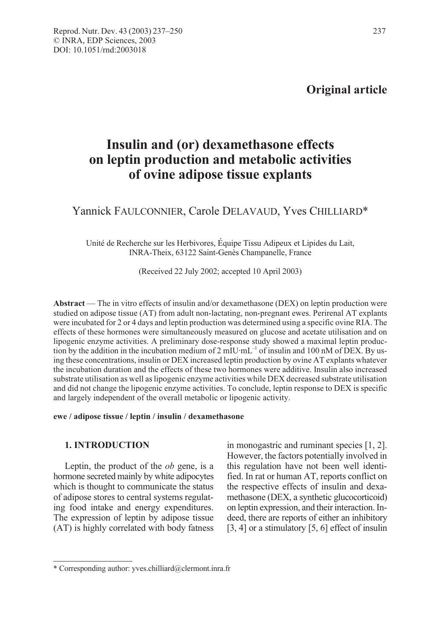# Original article

# Insulin and (or) dexamethasone effects on leptin production and metabolic activities of ovine adipose tissue explants

# Yannick FAULCONNIER, Carole DELAVAUD, Yves CHILLIARD\*

Unité de Recherche sur les Herbivores, Équipe Tissu Adipeux et Lipides du Lait, INRA-Theix, 63122 Saint-Genès Champanelle, France

(Received 22 July 2002; accepted 10 April 2003)

Abstract — The in vitro effects of insulin and/or dexamethasone (DEX) on leptin production were studied on adipose tissue (AT) from adult non-lactating, non-pregnant ewes. Perirenal AT explants were incubated for 2 or 4 days and leptin production was determined using a specific ovine RIA. The effects of these hormones were simultaneously measured on glucose and acetate utilisation and on lipogenic enzyme activities. A preliminary dose-response study showed a maximal leptin production by the addition in the incubation medium of 2 mIU·mL<sup>-1</sup> of insulin and 100 nM of DEX. By using these concentrations, insulin or DEX increased leptin production by ovine AT explants whatever the incubation duration and the effects of these two hormones were additive. Insulin also increased substrate utilisation as well as lipogenic enzyme activities while DEX decreased substrate utilisation and did not change the lipogenic enzyme activities. To conclude, leptin response to DEX is specific and largely independent of the overall metabolic or lipogenic activity.

#### ewe / adipose tissue / leptin / insulin / dexamethasone

# 1. INTRODUCTION

Leptin, the product of the *ob* gene, is a hormone secreted mainly by white adipocytes which is thought to communicate the status of adipose stores to central systems regulating food intake and energy expenditures. The expression of leptin by adipose tissue (AT) is highly correlated with body fatness in monogastric and ruminant species [1, 2]. However, the factors potentially involved in this regulation have not been well identified. In rat or human AT, reports conflict on the respective effects of insulin and dexamethasone (DEX, a synthetic glucocorticoid) on leptin expression, and their interaction. Indeed, there are reports of either an inhibitory [3, 4] or a stimulatory [5, 6] effect of insulin

<sup>\*</sup> Corresponding author: yves.chilliard@clermont.inra.fr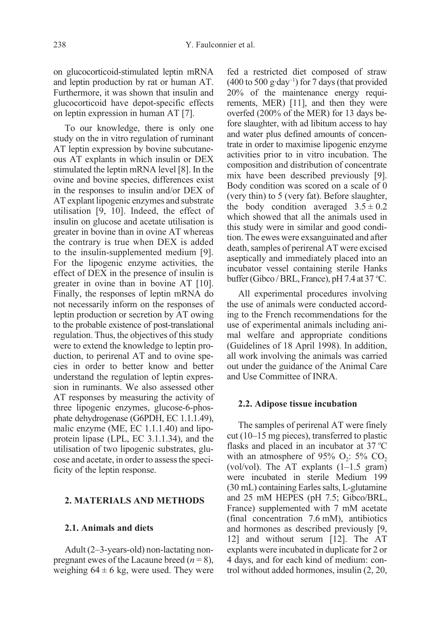on glucocorticoid-stimulated leptin mRNA and leptin production by rat or human AT. Furthermore, it was shown that insulin and glucocorticoid have depot-specific effects on leptin expression in human AT [7].

To our knowledge, there is only one study on the in vitro regulation of ruminant AT leptin expression by bovine subcutaneous AT explants in which insulin or DEX stimulated the leptin mRNA level [8]. In the ovine and bovine species, differences exist in the responses to insulin and/or DEX of AT explant lipogenic enzymes and substrate utilisation [9, 10]. Indeed, the effect of insulin on glucose and acetate utilisation is greater in bovine than in ovine AT whereas the contrary is true when DEX is added to the insulin-supplemented medium [9]. For the lipogenic enzyme activities, the effect of DEX in the presence of insulin is greater in ovine than in bovine AT [10]. Finally, the responses of leptin mRNA do not necessarily inform on the responses of leptin production or secretion by AT owing to the probable existence of post-translational regulation. Thus, the objectives of this study were to extend the knowledge to leptin production, to perirenal AT and to ovine species in order to better know and better understand the regulation of leptin expression in ruminants. We also assessed other AT responses by measuring the activity of three lipogenic enzymes, glucose-6-phosphate dehydrogenase (G6PDH, EC 1.1.1.49), malic enzyme (ME, EC 1.1.1.40) and lipoprotein lipase (LPL, EC 3.1.1.34), and the utilisation of two lipogenic substrates, glucose and acetate, in order to assess the specificity of the leptin response.

# 2. MATERIALS AND METHODS

## 2.1. Animals and diets

Adult (2–3-years-old) non-lactating nonpregnant ewes of the Lacaune breed  $(n = 8)$ , weighing  $64 \pm 6$  kg, were used. They were fed a restricted diet composed of straw  $(400 \text{ to } 500 \text{ g-day}^{-1})$  for 7 days (that provided 20% of the maintenance energy requirements, MER) [11], and then they were overfed (200% of the MER) for 13 days before slaughter, with ad libitum access to hay and water plus defined amounts of concentrate in order to maximise lipogenic enzyme activities prior to in vitro incubation. The composition and distribution of concentrate mix have been described previously [9]. Body condition was scored on a scale of 0 (very thin) to 5 (very fat). Before slaughter, the body condition averaged  $3.5 \pm 0.2$ which showed that all the animals used in this study were in similar and good condition. The ewes were exsanguinated and after death, samples of perirenal AT were excised aseptically and immediately placed into an incubator vessel containing sterile Hanks buffer (Gibco / BRL, France), pH 7.4 at 37 °C.

All experimental procedures involving the use of animals were conducted according to the French recommendations for the use of experimental animals including animal welfare and appropriate conditions (Guidelines of 18 April 1998). In addition, all work involving the animals was carried out under the guidance of the Animal Care and Use Committee of INRA.

#### 2.2. Adipose tissue incubation

The samples of perirenal AT were finely cut (10–15 mg pieces), transferred to plastic flasks and placed in an incubator at  $37^{\circ}$ C with an atmosphere of  $95\%$  O<sub>2</sub>:  $5\%$  CO<sub>2</sub> (vol/vol). The AT explants  $(1-1.5 \text{ gram})$ were incubated in sterile Medium 199 (30 mL) containing Earles salts, L-glutamine and 25 mM HEPES (pH 7.5; Gibco/BRL, France) supplemented with 7 mM acetate (final concentration 7.6 mM), antibiotics and hormones as described previously [9, 12] and without serum [12]. The AT explants were incubated in duplicate for 2 or 4 days, and for each kind of medium: control without added hormones, insulin (2, 20,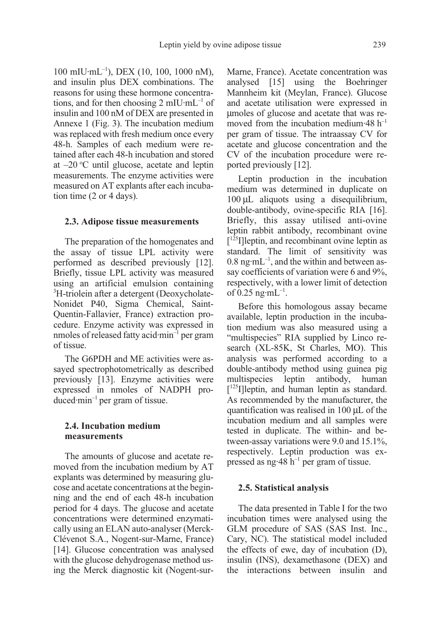100 mIU·mL–1), DEX (10, 100, 1000 nM), and insulin plus DEX combinations. The reasons for using these hormone concentrations, and for then choosing 2 mIU·mL<sup>-1</sup> of insulin and 100 nM of DEX are presented in Annexe 1 (Fig. 3). The incubation medium was replaced with fresh medium once every 48-h. Samples of each medium were retained after each 48-h incubation and stored at -20 °C until glucose, acetate and leptin measurements. The enzyme activities were measured on AT explants after each incubation time (2 or 4 days).

# 2.3. Adipose tissue measurements

The preparation of the homogenates and the assay of tissue LPL activity were performed as described previously [12]. Briefly, tissue LPL activity was measured using an artificial emulsion containing <sup>3</sup>H-triolein after a detergent (Deoxycholate-Nonidet P40, Sigma Chemical, Saint-Quentin-Fallavier, France) extraction procedure. Enzyme activity was expressed in nmoles of released fatty acid $\cdot$ min<sup>-1</sup> per gram of tissue.

The G6PDH and ME activities were assayed spectrophotometrically as described previously [13]. Enzyme activities were expressed in nmoles of NADPH produced $\cdot$ min<sup>-1</sup> per gram of tissue.

# 2.4. Incubation medium measurements

The amounts of glucose and acetate removed from the incubation medium by AT explants was determined by measuring glucose and acetate concentrations at the beginning and the end of each 48-h incubation period for 4 days. The glucose and acetate concentrations were determined enzymatically using an ELAN auto-analyser (Merck-Clévenot S.A., Nogent-sur-Marne, France) [14]. Glucose concentration was analysed with the glucose dehydrogenase method using the Merck diagnostic kit (Nogent-surMarne, France). Acetate concentration was analysed [15] using the Boehringer Mannheim kit (Meylan, France). Glucose and acetate utilisation were expressed in µmoles of glucose and acetate that was removed from the incubation medium $-48$  h<sup>-1</sup> per gram of tissue. The intraassay CV for acetate and glucose concentration and the CV of the incubation procedure were reported previously [12].

Leptin production in the incubation medium was determined in duplicate on 100 µL aliquots using a disequilibrium, double-antibody, ovine-specific RIA [16]. Briefly, this assay utilised anti-ovine leptin rabbit antibody, recombinant ovine [<sup>125</sup>I]leptin, and recombinant ovine leptin as standard. The limit of sensitivity was  $0.8$  ng·mL<sup>-1</sup>, and the within and between assay coefficients of variation were 6 and 9%, respectively, with a lower limit of detection of  $0.25$  ng·mL<sup>-1</sup>.

Before this homologous assay became available, leptin production in the incubation medium was also measured using a "multispecies" RIA supplied by Linco research (XL-85K, St Charles, MO). This analysis was performed according to a double-antibody method using guinea pig multispecies leptin antibody, human [<sup>125</sup>I]leptin, and human leptin as standard. As recommended by the manufacturer, the quantification was realised in 100 µL of the incubation medium and all samples were tested in duplicate. The within- and between-assay variations were 9.0 and 15.1%, respectively. Leptin production was expressed as ng:48  $h^{-1}$  per gram of tissue.

#### 2.5. Statistical analysis

The data presented in Table I for the two incubation times were analysed using the GLM procedure of SAS (SAS Inst. Inc., Cary, NC). The statistical model included the effects of ewe, day of incubation (D), insulin (INS), dexamethasone (DEX) and the interactions between insulin and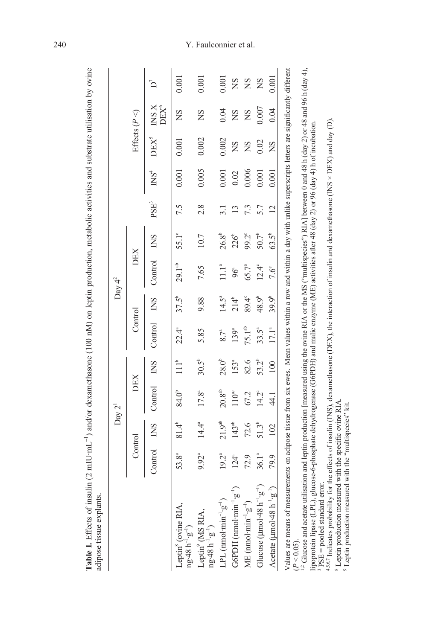|                                                                                                                                                                                                                                                                                                                                                                |                   |                   | Day 2 <sup>1</sup>   |                 |                   |                   | Day $4^2$         |                  |                  |                 |                  |                             |       |
|----------------------------------------------------------------------------------------------------------------------------------------------------------------------------------------------------------------------------------------------------------------------------------------------------------------------------------------------------------------|-------------------|-------------------|----------------------|-----------------|-------------------|-------------------|-------------------|------------------|------------------|-----------------|------------------|-----------------------------|-------|
|                                                                                                                                                                                                                                                                                                                                                                | Control           |                   | DEX                  |                 | Control           |                   | DEX               |                  |                  |                 |                  | Effects $(P \triangleleft)$ |       |
|                                                                                                                                                                                                                                                                                                                                                                | Control           | <b>END</b>        | Control              | <b>INS</b>      | Control           | <b>INS</b>        | Control           | <b>END</b>       | PSE <sup>3</sup> | $N\mathrm{S}^4$ | DEX <sup>5</sup> | INS X<br><b>DEX®</b>        | Ď     |
| Leptin <sup>8</sup> (ovine RIA, ng·48 h <sup>-1</sup> ·g <sup>-1</sup> )                                                                                                                                                                                                                                                                                       | 53.8 <sup>a</sup> | $81.4^{\circ}$    | 84.0 <sup>b</sup>    | 11 <sup>b</sup> | $22.4^a$          | $37.5^{b}$        | $29.1^{\rm ab}$   | 55.1°            | 7.5              | 0.001           | 0.001            | SN                          | 0.001 |
| $\begin{array}{l} \rm{Leptin}^9\,(MS\,RIA,\\ \rm ng\,48\,h^{-1}\,g^{-1}) \end{array}$                                                                                                                                                                                                                                                                          | 9.92ª             | $14.4^{\circ}$    | $17.8^{a}$           | $30.5^{b}$      | 5.85              | 9.88              | 7.65              | 10.7             | 2.8              | 0.005           | 0.002            | SN                          | 0.001 |
| LPL $($ nmol·min <sup>-1</sup> ·g <sup>-1</sup> )                                                                                                                                                                                                                                                                                                              | 19.2ª             | $21.9^{ab}$       | $20.8$ <sup>ab</sup> | $28.0^{b}$      | 8.7 <sup>a</sup>  | $14.5^a$          | 11.1 <sup>a</sup> | $26.8^{\circ}$   | 3.1              | 0.001           | 0.002            | 0.04                        | 0.001 |
| G6PDH (nmol·min $\frac{1}{2}$ .g <sup>-1</sup>                                                                                                                                                                                                                                                                                                                 | $124^a$           | 143 <sup>ab</sup> | $110^{\rm ac}$       | 153ª            | $139^a$           | $214^{b}$         | 96ª               | 226 <sup>b</sup> | $\mathbf{1}$     | 0.02            | SN               | SN                          | SN    |
| $ME (mod·min^{-1} \cdot g^{-1})$                                                                                                                                                                                                                                                                                                                               | 72.9              | 72.6              | 67.2                 | 82.6            | $75.1^{ab}$       | 89.4°             | 65.7 <sup>a</sup> | 99.2°            | 7.3              | 0.006           | ΣN               | SN                          | SN    |
| Glucose ( $\mu$ mol·48 h <sup>-1</sup> ·g <sup>-1</sup> )                                                                                                                                                                                                                                                                                                      | $36.1^{a}$        | $51.3^{b}$        | 14.2°                | $53.2^{b}$      | $33.5^a$          | 48.9 <sup>b</sup> | $12.4^\circ$      | $50.7^{\circ}$   | 5.7              | 0.001           | 0.02             | 0.007                       | SN    |
| A cetate ( $\mu$ mol·48 h <sup>-1</sup> ·g <sup>-1</sup>                                                                                                                                                                                                                                                                                                       | 79.9              | 102               | 44.1                 | 100             | 17.1 <sup>a</sup> | 39.9 <sup>b</sup> | 7.6°              | $63.5^{b}$       | $\overline{2}$   | 0.001           | SN               | 0.04                        | 0.001 |
| Values are means of measurements on adipose tissue from six ewes. Mean values within a row and within a day with unlike superscripts letters are significantly different<br>$(P < 0.05)$ .                                                                                                                                                                     |                   |                   |                      |                 |                   |                   |                   |                  |                  |                 |                  |                             |       |
| <sup>12</sup> Glucose and acetate utilisation and leptin production [measured using the ovine RIA or the MS ("multispecies") RIA] between 0 and 48 h (day 2) or 48 and 96 h (day 4),<br>lipoprotein lipase (LPL), glucose-6-phosphate dehydrogenase (G6PDH) and malic enzyme (ME) activities after 48 (day 2) or 96 (day 4) h of incubation.                   |                   |                   |                      |                 |                   |                   |                   |                  |                  |                 |                  |                             |       |
| <sup>45,67</sup> Indicates probability for the effects of insulin (INS), dexamethasone (DEX), the interaction of insulin and dexamethasone (INS × DEX) and day (D).<br><sup>8</sup> Leptin production measured with the specific ovine RIA<br><sup>9</sup> Leptin production measured with the "multispecies" kit.<br><sup>3</sup> PSE = pooled standard error |                   |                   |                      |                 |                   |                   |                   |                  |                  |                 |                  |                             |       |

Table I. Effects of insulin (2 mIU·mL<sup>-1</sup>) and/or dexamethasone (100 nM) on leptin production, metabolic activities and substrate utilisation by ovine

# 240 Y. Faulconnier et al.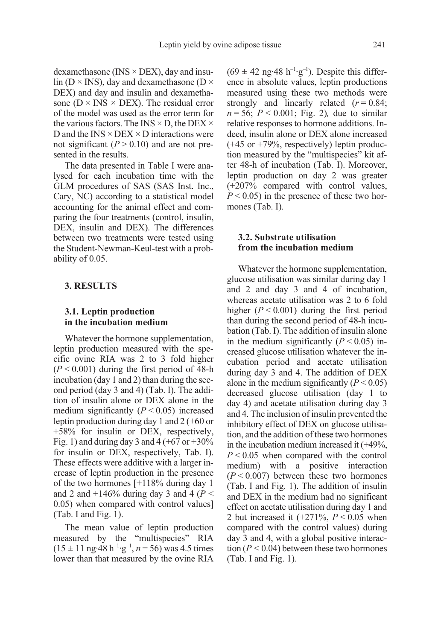dexamethasone (INS  $\times$  DEX), day and insulin ( $D \times$  INS), day and dexamethasone ( $D \times$ DEX) and day and insulin and dexamethasone ( $D \times INS \times DEX$ ). The residual error of the model was used as the error term for the various factors. The INS  $\times$  D, the DEX  $\times$ D and the  $INS \times DEX \times D$  interactions were not significant  $(P > 0.10)$  and are not presented in the results.

The data presented in Table I were analysed for each incubation time with the GLM procedures of SAS (SAS Inst. Inc., Cary, NC) according to a statistical model accounting for the animal effect and comparing the four treatments (control, insulin, DEX, insulin and DEX). The differences between two treatments were tested using the Student-Newman-Keul-test with a probability of 0.05.

#### 3. RESULTS

# 3.1. Leptin production in the incubation medium

Whatever the hormone supplementation, leptin production measured with the specific ovine RIA was 2 to 3 fold higher  $(P < 0.001)$  during the first period of 48-h incubation (day 1 and 2) than during the second period (day 3 and 4) (Tab. I). The addition of insulin alone or DEX alone in the medium significantly  $(P < 0.05)$  increased leptin production during day 1 and 2 (+60 or +58% for insulin or DEX, respectively, Fig. 1) and during day 3 and 4 (+67 or  $+30\%$ ) for insulin or DEX, respectively, Tab. I). These effects were additive with a larger increase of leptin production in the presence of the two hormones [+118% during day 1 and 2 and  $+146\%$  during day 3 and 4 ( $P <$ 0.05) when compared with control values] (Tab. I and Fig. 1).

The mean value of leptin production measured by the "multispecies" RIA  $(15 \pm 11 \text{ ng} \cdot 48 \text{ h}^{-1} \cdot \text{g}^{-1}, n = 56)$  was 4.5 times lower than that measured by the ovine RIA

 $(69 \pm 42 \text{ ng-}48 \text{ h}^{-1} \cdot \text{g}^{-1})$ . Despite this difference in absolute values, leptin productions measured using these two methods were strongly and linearly related  $(r = 0.84)$ ;  $n = 56$ ;  $P < 0.001$ ; Fig. 2), due to similar relative responses to hormone additions. Indeed, insulin alone or DEX alone increased (+45 or +79%, respectively) leptin production measured by the "multispecies" kit after 48-h of incubation (Tab. I). Moreover, leptin production on day 2 was greater (+207% compared with control values,  $P < 0.05$ ) in the presence of these two hormones (Tab. I).

#### 3.2. Substrate utilisation from the incubation medium

Whatever the hormone supplementation, glucose utilisation was similar during day 1 and 2 and day 3 and 4 of incubation, whereas acetate utilisation was 2 to 6 fold higher  $(P < 0.001)$  during the first period than during the second period of 48-h incubation (Tab. I). The addition of insulin alone in the medium significantly  $(P < 0.05)$  increased glucose utilisation whatever the incubation period and acetate utilisation during day 3 and 4. The addition of DEX alone in the medium significantly  $(P < 0.05)$ decreased glucose utilisation (day 1 to day 4) and acetate utilisation during day 3 and 4. The inclusion of insulin prevented the inhibitory effect of DEX on glucose utilisation, and the addition of these two hormones in the incubation medium increased it (+49%,  $P < 0.05$  when compared with the control medium) with a positive interaction  $(P < 0.007)$  between these two hormones (Tab. I and Fig. 1). The addition of insulin and DEX in the medium had no significant effect on acetate utilisation during day 1 and 2 but increased it  $(+271\%, P < 0.05$  when compared with the control values) during day 3 and 4, with a global positive interaction ( $P < 0.04$ ) between these two hormones (Tab. I and Fig. 1).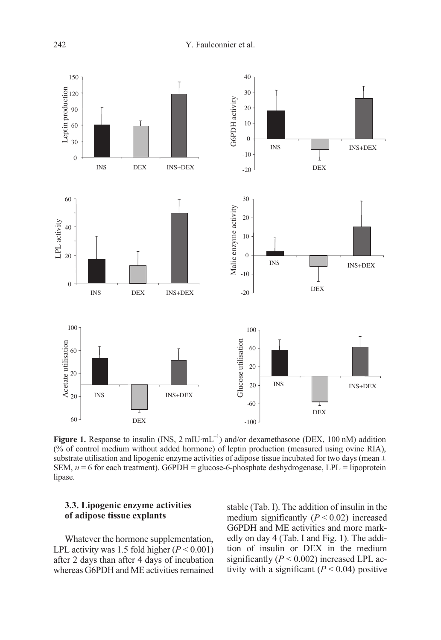

Figure 1. Response to insulin (INS,  $2 \text{ milU-mL}^{-1}$ ) and/or dexamethasone (DEX, 100 nM) addition  $(\%$  of control medium without added hormone) of leptin production (measured using ovine RIA), substrate utilisation and lipogenic enzyme activities of adipose tissue incubated for two days (mean  $\pm$ SEM,  $n = 6$  for each treatment). G6PDH = glucose-6-phosphate deshydrogenase, LPL = lipoprotein lipase.

# 3.3. Lipogenic enzyme activities of adipose tissue explants

Whatever the hormone supplementation, LPL activity was 1.5 fold higher  $(P < 0.001)$ after 2 days than after 4 days of incubation whereas G6PDH and ME activities remained stable (Tab. I). The addition of insulin in the medium significantly  $(P < 0.02)$  increased G6PDH and ME activities and more markedly on day 4 (Tab. I and Fig. 1). The addition of insulin or DEX in the medium significantly ( $P < 0.002$ ) increased LPL activity with a significant  $(P < 0.04)$  positive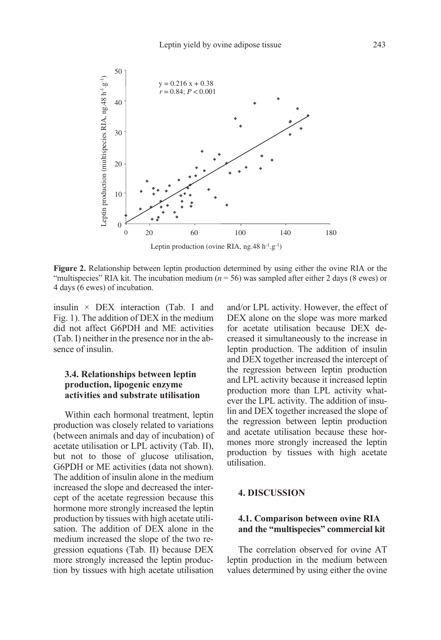

Figure 2. Relationship between leptin production determined by using either the ovine RIA or the "multispecies" RIA kit. The incubation medium ( $n = 56$ ) was sampled after either 2 days (8 ewes) or 4 days (6 ewes) of incubation.

insulin × DEX interaction (Tab. I and Fig. 1). The addition of DEX in the medium did not affect G6PDH and ME activities (Tab. I) neither in the presence nor in the absence of insulin.

## 3.4. Relationships between leptin production, lipogenic enzyme activities and substrate utilisation

Within each hormonal treatment, leptin production was closely related to variations (between animals and day of incubation) of acetate utilisation or LPL activity (Tab. II), but not to those of glucose utilisation, G6PDH or ME activities (data not shown). The addition of insulin alone in the medium increased the slope and decreased the intercept of the acetate regression because this hormone more strongly increased the leptin production by tissues with high acetate utilisation. The addition of DEX alone in the medium increased the slope of the two regression equations (Tab. II) because DEX more strongly increased the leptin production by tissues with high acetate utilisation and/or LPL activity. However, the effect of DEX alone on the slope was more marked for acetate utilisation because DEX decreased it simultaneously to the increase in leptin production. The addition of insulin and DEX together increased the intercept of the regression between leptin production and LPL activity because it increased leptin production more than LPL activity whatever the LPL activity. The addition of insulin and DEX together increased the slope of the regression between leptin production and acetate utilisation because these hormones more strongly increased the leptin production by tissues with high acetate utilisation.

# 4. DISCUSSION

# 4.1. Comparison between ovine RIA and the "multispecies" commercial kit

The correlation observed for ovine AT leptin production in the medium between values determined by using either the ovine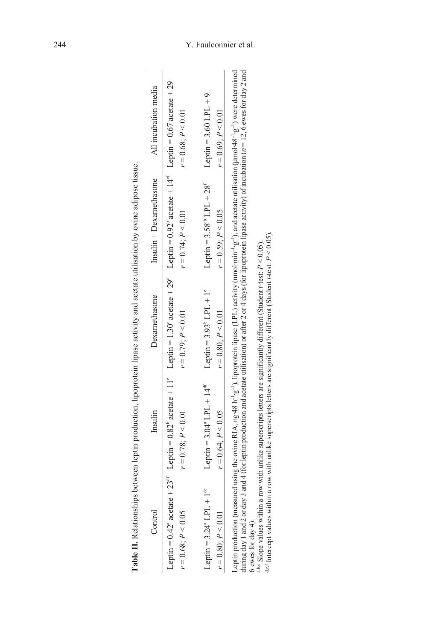| Table II. Relationships I                 |                                            |                                  | between leptin production, lipoprotein lipase activity and acetate utilisation by ovine adipose tissue.                                                                                                                                                  |                                                                                                                                                                                                                                                            |
|-------------------------------------------|--------------------------------------------|----------------------------------|----------------------------------------------------------------------------------------------------------------------------------------------------------------------------------------------------------------------------------------------------------|------------------------------------------------------------------------------------------------------------------------------------------------------------------------------------------------------------------------------------------------------------|
| Control                                   | Insulin                                    | Dexamethasone                    | Insulin + Dexamethasone                                                                                                                                                                                                                                  | All incubation media                                                                                                                                                                                                                                       |
|                                           |                                            |                                  | Leptin = $0.42$ <sup>n</sup> acetate + 23 <sup>df</sup> Leptin = $0.82$ <sup>b</sup> acetate + 11 <sup>e</sup> Leptin = 1.30 <sup>c</sup> acetate + 29 <sup>d</sup> Leptin = $0.92$ <sup>b</sup> acetate + 14 <sup>ef</sup> Leptin = $0.67$ acetate + 29 |                                                                                                                                                                                                                                                            |
| $r = 0.68; P < 0.05$                      | $r = 0.78$ ; $P < 0.01$                    | $r = 0.79; P < 0.01$             | $r = 0.74$ ; $P < 0.01$                                                                                                                                                                                                                                  | $r = 0.68; P < 0.01$                                                                                                                                                                                                                                       |
| Leptin = $3.24^{\circ}$ LPL + $1^{\circ}$ | Leptin = $3.04^{\circ}$ LPL + $14^{\circ}$ | Leptin = $3.93^{\circ}$ LPL + 1° | Leptin = $3.58^{ab}$ LPL + $28^f$                                                                                                                                                                                                                        | Leptin = $3.60$ LPL + 9                                                                                                                                                                                                                                    |
| $r = 0.80; P < 0.01$                      | $r = 0.64$ ; $P < 0.05$                    | $r = 0.80; P < 0.01$             | $r = 0.59$ ; $P < 0.05$                                                                                                                                                                                                                                  | $r = 0.69; P < 0.01$                                                                                                                                                                                                                                       |
|                                           |                                            |                                  | during day 1 and 2 or day 3 and 4 (for leptin production and acetate utilisation) or after 2 or 4 days (for lipoprotein lipase activity) of incubation ( $n = 12$ , 6 ewes for day 2 and                                                                 | Leptin production (measured using the ovine RIA, ng-48 h <sup>-1</sup> ·g <sup>-1</sup> ), lipoprotein lipase (LPL) activity (nmol·min <sup>-1</sup> ·g <sup>-1</sup> ), and acetate utilisation (µmol·48 <sup>-1</sup> ·g <sup>-1</sup> ) were determined |

÷ Ę  $\ddot{\phantom{a}}$ ÷, ś ă ł, Í Ė  $\ddot{\cdot}$ ÷  $\ddot{\cdot}$ Ŕ ŧ  $\mathbf{I}$ ړ. đ J É  $\overline{a}$  $\overline{a}$  $\overline{A}$ 

6 ewes for day 4). ゠゠

aloge values within a row with unlike superscripts letters are significantly different (Student t-test:  $P < 0.05$ ).

d,e,f Intercept values within a row with unlike superscripts letters are significantly different (Student t-test:  $P < 0.05$ ).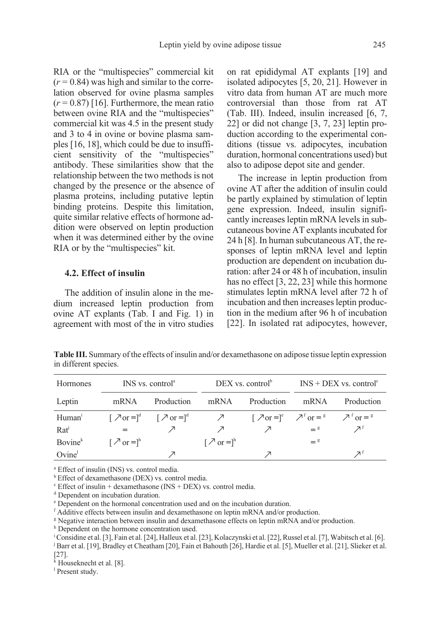RIA or the "multispecies" commercial kit  $(r = 0.84)$  was high and similar to the correlation observed for ovine plasma samples  $(r = 0.87)$  [16]. Furthermore, the mean ratio between ovine RIA and the "multispecies" commercial kit was 4.5 in the present study and 3 to 4 in ovine or bovine plasma samples [16, 18], which could be due to insufficient sensitivity of the "multispecies" antibody. These similarities show that the relationship between the two methods is not changed by the presence or the absence of plasma proteins, including putative leptin binding proteins. Despite this limitation, quite similar relative effects of hormone addition were observed on leptin production when it was determined either by the ovine RIA or by the "multispecies" kit.

# 4.2. Effect of insulin

The addition of insulin alone in the medium increased leptin production from ovine AT explants (Tab. I and Fig. 1) in agreement with most of the in vitro studies on rat epididymal AT explants [19] and isolated adipocytes [5, 20, 21]. However in vitro data from human AT are much more controversial than those from rat AT (Tab. III). Indeed, insulin increased [6, 7, 22] or did not change [3, 7, 23] leptin production according to the experimental conditions (tissue vs. adipocytes, incubation duration, hormonal concentrations used) but also to adipose depot site and gender.

The increase in leptin production from ovine AT after the addition of insulin could be partly explained by stimulation of leptin gene expression. Indeed, insulin significantly increases leptin mRNA levels in subcutaneous bovine AT explants incubated for 24 h [8]. In human subcutaneous AT, the responses of leptin mRNA level and leptin production are dependent on incubation duration: after 24 or 48 h of incubation, insulin has no effect [3, 22, 23] while this hormone stimulates leptin mRNA level after 72 h of incubation and then increases leptin production in the medium after 96 h of incubation [22]. In isolated rat adipocytes, however,

Table III. Summary of the effects of insulin and/or dexamethasone on adipose tissue leptin expression in different species.

| Hormones            |                                                | INS vs. control <sup>a</sup>                                                                                                                                                                                            |                                                       |                 | DEX vs. control <sup><math>\text{b}</math></sup> INS + DEX vs. control <sup><math>\text{c}</math></sup> |            |
|---------------------|------------------------------------------------|-------------------------------------------------------------------------------------------------------------------------------------------------------------------------------------------------------------------------|-------------------------------------------------------|-----------------|---------------------------------------------------------------------------------------------------------|------------|
| Leptin              | mRNA                                           | Production mRNA                                                                                                                                                                                                         |                                                       | Production mRNA |                                                                                                         | Production |
| Human <sup>i</sup>  |                                                | $[\lambda \text{ or } ]^d$ $[\lambda \text{ or } ]^d$ $[\lambda \text{ or } ]^d$ $[\lambda \text{ or } ]^e$ $[\lambda \text{ or } ]^e$ $[\lambda \text{ or } ]^e$ $[\lambda \text{ or } ]^e$ $[\lambda \text{ or } ]^e$ |                                                       |                 |                                                                                                         |            |
| $Rat^j$             |                                                |                                                                                                                                                                                                                         |                                                       |                 | $=$ $^{8}$                                                                                              | フェ         |
| Bovine <sup>k</sup> | $\lceil \nearrow$ or $=$ $\rceil$ <sup>h</sup> |                                                                                                                                                                                                                         | $\lceil$ $\sqrt{2}$ or $\equiv$ $\lceil$ <sup>h</sup> |                 | $=$ <sup>g</sup>                                                                                        |            |
| Ovine <sup>1</sup>  |                                                |                                                                                                                                                                                                                         |                                                       |                 |                                                                                                         |            |

<sup>a</sup> Effect of insulin (INS) vs. control media.

**b** Effect of dexamethasone (DEX) vs. control media.

 $\textdegree$  Effect of insulin + dexamethasone (INS + DEX) vs. control media.

<sup>d</sup> Dependent on incubation duration.

<sup>e</sup> Dependent on the hormonal concentration used and on the incubation duration.

<sup>f</sup> Additive effects between insulin and dexamethasone on leptin mRNA and/or production.

<sup>g</sup> Negative interaction between insulin and dexamethasone effects on leptin mRNA and/or production.

h Dependent on the hormone concentration used.

i Considine et al. [3], Fain et al. [24], Halleux et al. [23], Kolaczynski et al. [22], Russel et al. [7], Wabitsch et al. [6]. j Barr et al. [19], Bradley et Cheatham [20], Fain et Bahouth [26], Hardie et al. [5], Mueller et al. [21], Slieker et al. [27].

k Houseknecht et al. [8].

<sup>1</sup> Present study.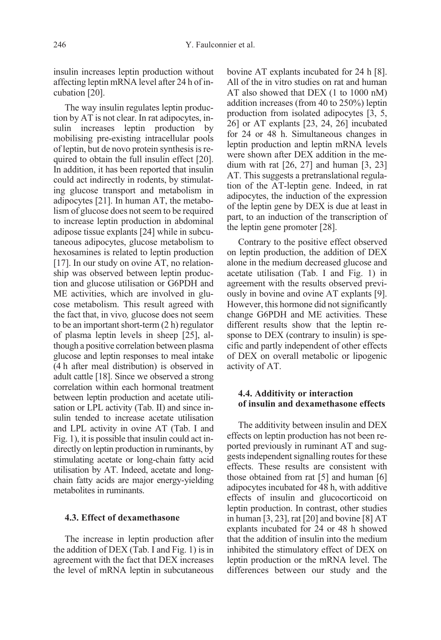insulin increases leptin production without affecting leptin mRNA level after 24 h of incubation [20].

The way insulin regulates leptin production by AT is not clear. In rat adipocytes, insulin increases leptin production by mobilising pre-existing intracellular pools of leptin, but de novo protein synthesis is required to obtain the full insulin effect [20]. In addition, it has been reported that insulin could act indirectly in rodents, by stimulating glucose transport and metabolism in adipocytes [21]. In human AT, the metabolism of glucose does not seem to be required to increase leptin production in abdominal adipose tissue explants [24] while in subcutaneous adipocytes, glucose metabolism to hexosamines is related to leptin production [17]. In our study on ovine AT, no relationship was observed between leptin production and glucose utilisation or G6PDH and ME activities, which are involved in glucose metabolism. This result agreed with the fact that, in vivo, glucose does not seem to be an important short-term (2 h) regulator of plasma leptin levels in sheep [25], although a positive correlation between plasma glucose and leptin responses to meal intake (4 h after meal distribution) is observed in adult cattle [18]. Since we observed a strong correlation within each hormonal treatment between leptin production and acetate utilisation or LPL activity (Tab. II) and since insulin tended to increase acetate utilisation and LPL activity in ovine AT (Tab. I and Fig. 1), it is possible that insulin could act indirectly on leptin production in ruminants, by stimulating acetate or long-chain fatty acid utilisation by AT. Indeed, acetate and longchain fatty acids are major energy-yielding metabolites in ruminants.

#### 4.3. Effect of dexamethasone

The increase in leptin production after the addition of DEX (Tab. I and Fig. 1) is in agreement with the fact that DEX increases the level of mRNA leptin in subcutaneous bovine AT explants incubated for 24 h [8]. All of the in vitro studies on rat and human AT also showed that DEX (1 to 1000 nM) addition increases (from 40 to 250%) leptin production from isolated adipocytes [3, 5, 26] or AT explants [23, 24, 26] incubated for 24 or 48 h. Simultaneous changes in leptin production and leptin mRNA levels were shown after DEX addition in the medium with rat [26, 27] and human [3, 23] AT. This suggests a pretranslational regulation of the AT-leptin gene. Indeed, in rat adipocytes, the induction of the expression of the leptin gene by DEX is due at least in part, to an induction of the transcription of the leptin gene promoter [28].

Contrary to the positive effect observed on leptin production, the addition of DEX alone in the medium decreased glucose and acetate utilisation (Tab. I and Fig. 1) in agreement with the results observed previously in bovine and ovine AT explants [9]. However, this hormone did not significantly change G6PDH and ME activities. These different results show that the leptin response to DEX (contrary to insulin) is specific and partly independent of other effects of DEX on overall metabolic or lipogenic activity of AT.

## 4.4. Additivity or interaction of insulin and dexamethasone effects

The additivity between insulin and DEX effects on leptin production has not been reported previously in ruminant AT and suggests independent signalling routes for these effects. These results are consistent with those obtained from rat [5] and human [6] adipocytes incubated for 48 h, with additive effects of insulin and glucocorticoid on leptin production. In contrast, other studies in human [3, 23], rat [20] and bovine [8] AT explants incubated for 24 or 48 h showed that the addition of insulin into the medium inhibited the stimulatory effect of DEX on leptin production or the mRNA level. The differences between our study and the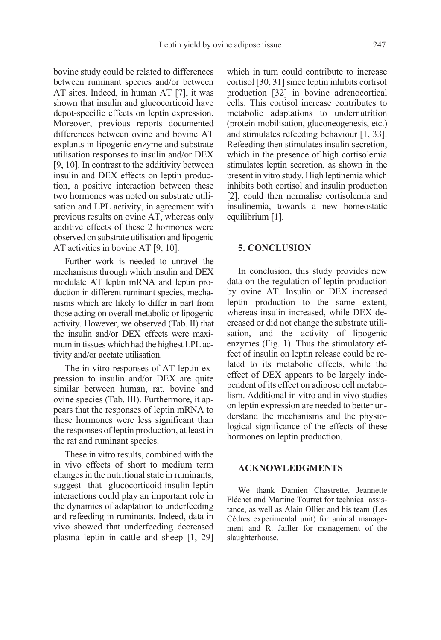bovine study could be related to differences between ruminant species and/or between AT sites. Indeed, in human AT [7], it was shown that insulin and glucocorticoid have depot-specific effects on leptin expression. Moreover, previous reports documented differences between ovine and bovine AT explants in lipogenic enzyme and substrate utilisation responses to insulin and/or DEX [9, 10]. In contrast to the additivity between insulin and DEX effects on leptin production, a positive interaction between these two hormones was noted on substrate utilisation and LPL activity, in agreement with previous results on ovine AT, whereas only additive effects of these 2 hormones were observed on substrate utilisation and lipogenic AT activities in bovine AT [9, 10].

Further work is needed to unravel the mechanisms through which insulin and DEX modulate AT leptin mRNA and leptin production in different ruminant species, mechanisms which are likely to differ in part from those acting on overall metabolic or lipogenic activity. However, we observed (Tab. II) that the insulin and/or DEX effects were maximum in tissues which had the highest LPL activity and/or acetate utilisation.

The in vitro responses of AT leptin expression to insulin and/or DEX are quite similar between human, rat, bovine and ovine species (Tab. III). Furthermore, it appears that the responses of leptin mRNA to these hormones were less significant than the responses of leptin production, at least in the rat and ruminant species.

These in vitro results, combined with the in vivo effects of short to medium term changes in the nutritional state in ruminants, suggest that glucocorticoid-insulin-leptin interactions could play an important role in the dynamics of adaptation to underfeeding and refeeding in ruminants. Indeed, data in vivo showed that underfeeding decreased plasma leptin in cattle and sheep [1, 29] which in turn could contribute to increase cortisol [30, 31] since leptin inhibits cortisol production [32] in bovine adrenocortical cells. This cortisol increase contributes to metabolic adaptations to undernutrition (protein mobilisation, gluconeogenesis, etc.) and stimulates refeeding behaviour [1, 33]. Refeeding then stimulates insulin secretion, which in the presence of high cortisolemia stimulates leptin secretion, as shown in the present in vitro study. High leptinemia which inhibits both cortisol and insulin production [2], could then normalise cortisolemia and insulinemia, towards a new homeostatic equilibrium [1].

#### 5. CONCLUSION

In conclusion, this study provides new data on the regulation of leptin production by ovine AT. Insulin or DEX increased leptin production to the same extent, whereas insulin increased, while DEX decreased or did not change the substrate utilisation, and the activity of lipogenic enzymes (Fig. 1). Thus the stimulatory effect of insulin on leptin release could be related to its metabolic effects, while the effect of DEX appears to be largely independent of its effect on adipose cell metabolism. Additional in vitro and in vivo studies on leptin expression are needed to better understand the mechanisms and the physiological significance of the effects of these hormones on leptin production.

# ACKNOWLEDGMENTS

We thank Damien Chastrette, Jeannette Fléchet and Martine Tourret for technical assistance, as well as Alain Ollier and his team (Les Cèdres experimental unit) for animal management and R. Jailler for management of the slaughterhouse.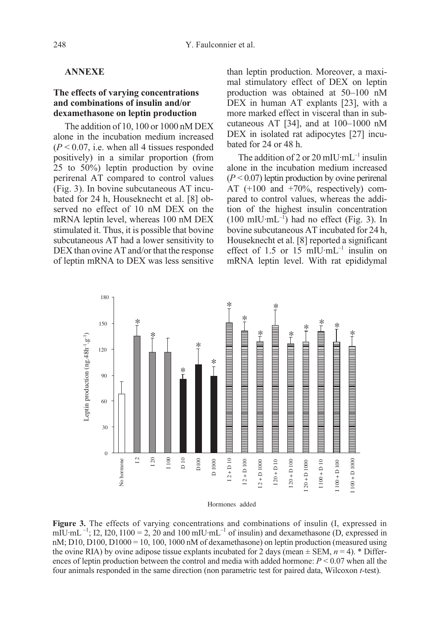### ANNEXE

# The effects of varying concentrations and combinations of insulin and/or dexamethasone on leptin production

The addition of 10, 100 or 1000 nM DEX alone in the incubation medium increased  $(P < 0.07$ , i.e. when all 4 tissues responded positively) in a similar proportion (from 25 to 50%) leptin production by ovine perirenal AT compared to control values (Fig. 3). In bovine subcutaneous AT incubated for 24 h, Houseknecht et al. [8] observed no effect of 10 nM DEX on the mRNA leptin level, whereas 100 nM DEX stimulated it. Thus, it is possible that bovine subcutaneous AT had a lower sensitivity to DEX than ovine AT and/or that the response of leptin mRNA to DEX was less sensitive than leptin production. Moreover, a maximal stimulatory effect of DEX on leptin production was obtained at 50–100 nM DEX in human AT explants [23], with a more marked effect in visceral than in subcutaneous AT [34], and at 100–1000 nM DEX in isolated rat adipocytes [27] incubated for 24 or 48 h.

The addition of 2 or 20 mIU·mL<sup>-1</sup> insulin alone in the incubation medium increased  $(P < 0.07)$  leptin production by ovine perirenal AT (+100 and +70%, respectively) compared to control values, whereas the addition of the highest insulin concentration  $(100 \text{ mIU} \cdot \text{mL}^{-1})$  had no effect (Fig. 3). In bovine subcutaneous AT incubated for 24 h, Houseknecht et al. [8] reported a significant effect of 1.5 or 15 mIU·mL<sup>-1</sup> insulin on mRNA leptin level. With rat epididymal



Hormones added

Figure 3. The effects of varying concentrations and combinations of insulin (I, expressed in mIU·mL  $^{-1}$ ; I2, I20, I100 = 2, 20 and 100 mIU·mL<sup>-1</sup> of insulin) and dexamethasone (D, expressed in  $nM$ ; D10, D100, D1000 = 10, 100, 1000 nM of dexamethasone) on leptin production (measured using the ovine RIA) by ovine adipose tissue explants incubated for 2 days (mean  $\pm$  SEM,  $n = 4$ ). \* Differences of leptin production between the control and media with added hormone:  $P \le 0.07$  when all the four animals responded in the same direction (non parametric test for paired data, Wilcoxon t-test).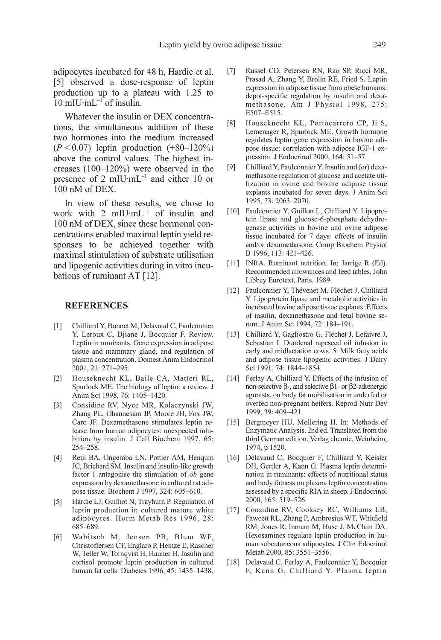adipocytes incubated for 48 h, Hardie et al. [5] observed a dose-response of leptin production up to a plateau with 1.25 to  $10 \text{ mIU} \cdot \text{mL}^{-1}$  of insulin.

Whatever the insulin or DEX concentrations, the simultaneous addition of these two hormones into the medium increased  $(P < 0.07)$  leptin production  $(+80-120%)$ above the control values. The highest increases (100–120%) were observed in the presence of 2  $mI$ U·mL<sup>-1</sup> and either 10 or 100 nM of DEX.

In view of these results, we chose to work with 2  $m$ IU·mL<sup>-1</sup> of insulin and 100 nM of DEX, since these hormonal concentrations enabled maximal leptin yield responses to be achieved together with maximal stimulation of substrate utilisation and lipogenic activities during in vitro incubations of ruminant AT [12].

#### **REFERENCES**

- [1] Chilliard Y, Bonnet M, Delavaud C, Faulconnier Y, Leroux C, Djiane J, Bocquier F. Review. Leptin in ruminants. Gene expression in adipose tissue and mammary gland, and regulation of plasma concentration. Domest Anim Endocrinol 2001, 21: 271–295.
- [2] Houseknecht KL, Baile CA, Matteri RL, Spurlock ME. The biology of leptin: a review. J Anim Sci 1998, 76: 1405–1420.
- [3] Considine RV, Nyce MR, Kolaczynski JW, Zhang PL, Ohannesian JP, Moore JH, Fox JW, Caro JF. Dexamethasone stimulates leptin release from human adipocytes: unexpected inhibition by insulin. J Cell Biochem 1997, 65: 254–258.
- [4] Reul BA, Ongemba LN, Pottier AM, Henquin JC, Brichard SM. Insulin and insulin-like growth factor 1 antagonise the stimulation of ob gene expression by dexamethasone in cultured rat adipose tissue. Biochem J 1997, 324: 605–610.
- [5] Hardie LJ, Guilhot N, Trayhurn P. Regulation of leptin production in cultured mature white adipocytes. Horm Metab Res 1996, 28: 685–689.
- [6] Wabitsch M, Jensen PB, Blum WF, Christoffersen CT, Englaro P, Heinze E, Rascher W, Teller W, Tornqvist H, Hauner H. Insulin and cortisol promote leptin production in cultured human fat cells. Diabetes 1996, 45: 1435–1438.
- [7] Russel CD, Petersen RN, Rao SP, Ricci MR, Prasad A, Zhang Y, Brolin RE, Fried S. Leptin expression in adipose tissue from obese humans: depot-specific regulation by insulin and dexamethasone. Am J Physiol 1998, 275: E507–E515.
- [8] Houseknecht KL, Portocarrero CP, Ji S, Lemenager R, Spurlock ME. Growth hormone regulates leptin gene expression in bovine adipose tissue: correlation with adipose IGF-1 expression. J Endocrinol 2000, 164: 51–57.
- [9] Chilliard Y, Faulconnier Y. Insulin and (or) dexamethasone regulation of glucose and acetate utilization in ovine and bovine adipose tissue explants incubated for seven days. J Anim Sci 1995, 73: 2063–2070.
- [10] Faulconnier Y, Guillon L, Chilliard Y. Lipoprotein lipase and glucose-6-phosphate dehydrogenase activities in bovine and ovine adipose tissue incubated for 7 days: effects of insulin and/or dexamethasone. Comp Biochem Physiol B 1996, 113: 421–426.
- [11] INRA. Ruminant nutrition. In: Jarrige R (Ed). Recommended allowances and feed tables. John Libbey Eurotext, Paris. 1989.
- [12] Faulconnier Y, Thévenet M, Fléchet J, Chilliard Y. Lipoprotein lipase and metabolic activities in incubated bovine adipose tissue explants: Effects of insulin, dexamethasone and fetal bovine serum. J Anim Sci 1994, 72: 184–191.
- [13] Chilliard Y, Gagliostro G, Fléchet J, Lefaivre J, Sebastian I. Duodenal rapeseed oil infusion in early and midlactation cows. 5. Milk fatty acids and adipose tissue lipogenic activities. J Dairy Sci 1991, 74: 1844–1854.
- [14] Ferlay A, Chilliard Y. Effects of the infusion of non-selective β-, and selective β1- or β2-adrenergic agonists, on body fat mobilisation in underfed or overfed non-pregnant heifers. Reprod Nutr Dev 1999, 39: 409–421.
- [15] Bergmeyer HU, Mollering H. In: Methods of Enzymatic Analysis. 2nd ed. Translated from the third German edition, Verlag chemie, Weinheim, 1974, p 1520.
- [16] Delavaud C, Bocquier F, Chilliard Y, Keisler DH, Gertler A, Kann G. Plasma leptin determination in ruminants: effects of nutritional status and body fatness on plasma leptin concentration assessed by a specific RIA in sheep. J Endocrinol 2000, 165: 519–526.
- [17] Considine RV, Cooksey RC, Williams LB, Fawcett RL, Zhang P, Ambrosius WT, Whitfield RM, Jones R, Inmam M, Huse J, McClain DA. Hexosamines regulate leptin production in human subcutaneous adipocytes. J Clin Edocrinol Metab 2000, 85: 3551–3556.
- [18] Delavaud C, Ferlay A, Faulconnier Y, Bocquier F, Kann G, Chilliard Y. Plasma leptin